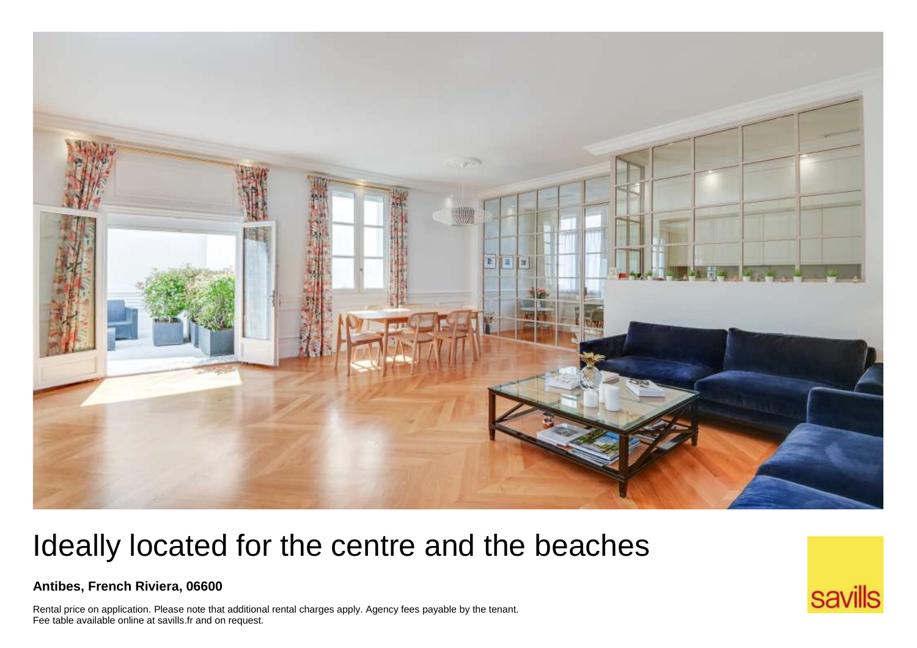

# Ideally located for the centre and the beaches

# **Antibes, French Riviera, 06600**

Rental price on application. Please note that additional rental charges apply. Agency fees payable by the tenant. Fee table available online at savills.fr and on request.

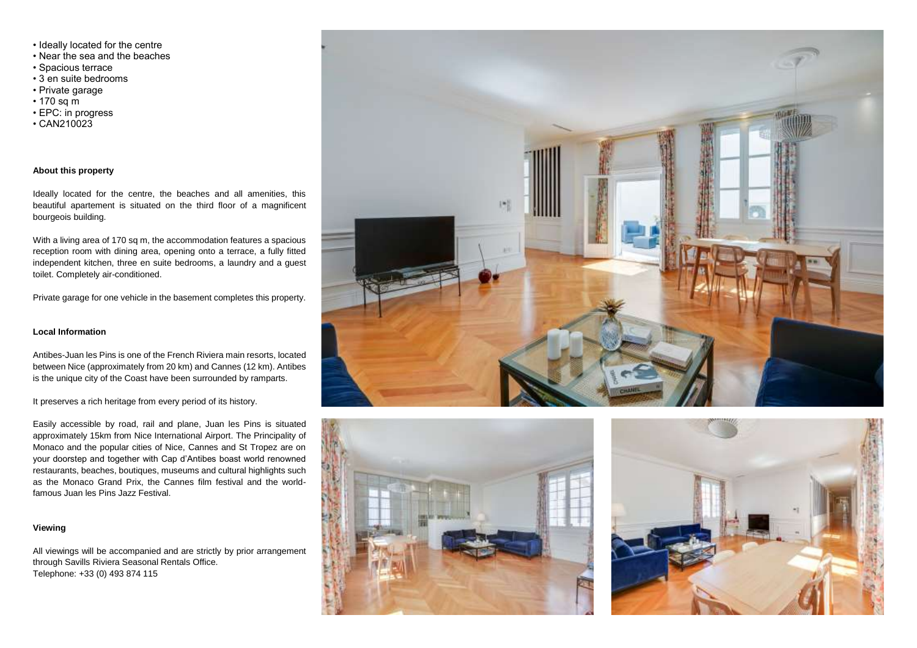- Ideally located for the centre
- Near the sea and the beaches
- Spacious terrace
- 3 en suite bedrooms
- Private garage
- 170 sq m
- EPC: in progress
- CAN210023

#### **About this property**

Ideally located for the centre, the beaches and all amenities, this beautiful apartement is situated on the third floor of a magnificent bourgeois building.

With a living area of 170 sq m, the accommodation features a spacious reception room with dining area, opening onto a terrace, a fully fitted independent kitchen, three en suite bedrooms, a laundry and a guest toilet. Completely air-conditioned.

Private garage for one vehicle in the basement completes this property.

## **Local Information**

Antibes-Juan les Pins is one of the French Riviera main resorts, located between Nice (approximately from 20 km) and Cannes (12 km). Antibes is the unique city of the Coast have been surrounded by ramparts.

It preserves a rich heritage from every period of its history.

Easily accessible by road, rail and plane, Juan les Pins is situated approximately 15km from Nice International Airport. The Principality of Monaco and the popular cities of Nice, Cannes and St Tropez are on your doorstep and together with Cap d'Antibes boast world renowned restaurants, beaches, boutiques, museums and cultural highlights such as the Monaco Grand Prix, the Cannes film festival and the worldfamous Juan les Pins Jazz Festival.

### **Viewing**

All viewings will be accompanied and are strictly by prior arrangement through Savills Riviera Seasonal Rentals Office. Telephone: +33 (0) 493 874 115





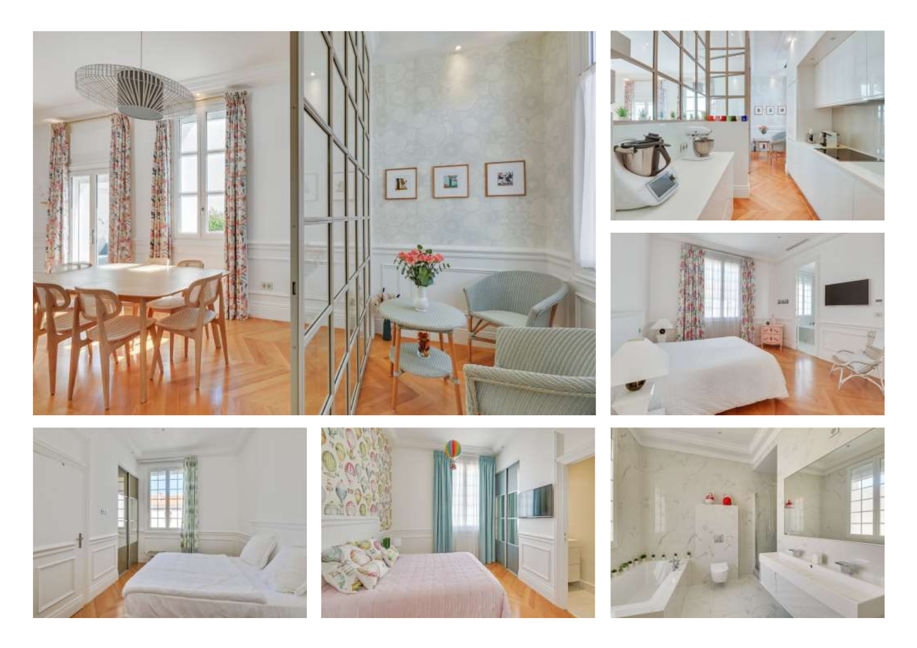